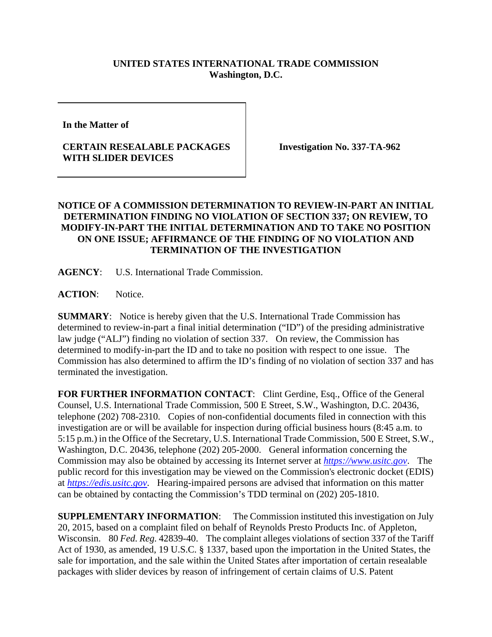## **UNITED STATES INTERNATIONAL TRADE COMMISSION Washington, D.C.**

**In the Matter of** 

## **CERTAIN RESEALABLE PACKAGES WITH SLIDER DEVICES**

**Investigation No. 337-TA-962** 

## **NOTICE OF A COMMISSION DETERMINATION TO REVIEW-IN-PART AN INITIAL DETERMINATION FINDING NO VIOLATION OF SECTION 337; ON REVIEW, TO MODIFY-IN-PART THE INITIAL DETERMINATION AND TO TAKE NO POSITION ON ONE ISSUE; AFFIRMANCE OF THE FINDING OF NO VIOLATION AND TERMINATION OF THE INVESTIGATION**

**AGENCY**: U.S. International Trade Commission.

**ACTION**: Notice.

**SUMMARY**: Notice is hereby given that the U.S. International Trade Commission has determined to review-in-part a final initial determination ("ID") of the presiding administrative law judge ("ALJ") finding no violation of section 337. On review, the Commission has determined to modify-in-part the ID and to take no position with respect to one issue. The Commission has also determined to affirm the ID's finding of no violation of section 337 and has terminated the investigation.

FOR FURTHER INFORMATION CONTACT: Clint Gerdine, Esq., Office of the General Counsel, U.S. International Trade Commission, 500 E Street, S.W., Washington, D.C. 20436, telephone (202) 708-2310. Copies of non-confidential documents filed in connection with this investigation are or will be available for inspection during official business hours (8:45 a.m. to 5:15 p.m.) in the Office of the Secretary, U.S. International Trade Commission, 500 E Street, S.W., Washington, D.C. 20436, telephone (202) 205-2000. General information concerning the Commission may also be obtained by accessing its Internet server at *https://www.usitc.gov*. The public record for this investigation may be viewed on the Commission's electronic docket (EDIS) at *https://edis.usitc.gov*. Hearing-impaired persons are advised that information on this matter can be obtained by contacting the Commission's TDD terminal on (202) 205-1810.

**SUPPLEMENTARY INFORMATION**: The Commission instituted this investigation on July 20, 2015, based on a complaint filed on behalf of Reynolds Presto Products Inc. of Appleton, Wisconsin. 80 *Fed. Reg.* 42839-40. The complaint alleges violations of section 337 of the Tariff Act of 1930, as amended, 19 U.S.C. § 1337, based upon the importation in the United States, the sale for importation, and the sale within the United States after importation of certain resealable packages with slider devices by reason of infringement of certain claims of U.S. Patent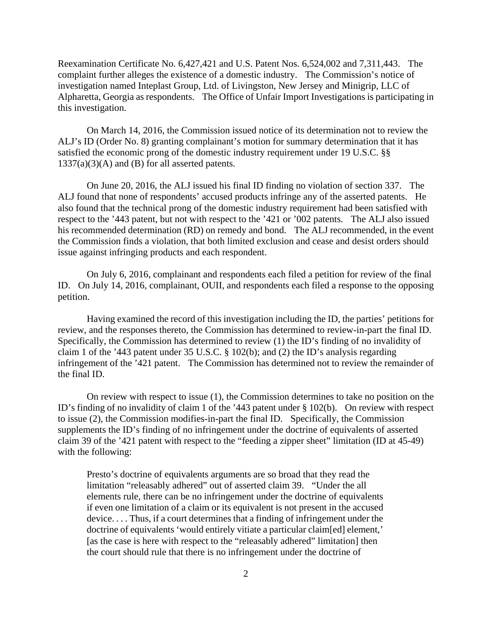Reexamination Certificate No. 6,427,421 and U.S. Patent Nos. 6,524,002 and 7,311,443. The complaint further alleges the existence of a domestic industry. The Commission's notice of investigation named Inteplast Group, Ltd. of Livingston, New Jersey and Minigrip, LLC of Alpharetta, Georgia as respondents. The Office of Unfair Import Investigations is participating in this investigation.

On March 14, 2016, the Commission issued notice of its determination not to review the ALJ's ID (Order No. 8) granting complainant's motion for summary determination that it has satisfied the economic prong of the domestic industry requirement under 19 U.S.C. §§  $1337(a)(3)(A)$  and (B) for all asserted patents.

On June 20, 2016, the ALJ issued his final ID finding no violation of section 337. The ALJ found that none of respondents' accused products infringe any of the asserted patents. He also found that the technical prong of the domestic industry requirement had been satisfied with respect to the '443 patent, but not with respect to the '421 or '002 patents. The ALJ also issued his recommended determination (RD) on remedy and bond. The ALJ recommended, in the event the Commission finds a violation, that both limited exclusion and cease and desist orders should issue against infringing products and each respondent.

On July 6, 2016, complainant and respondents each filed a petition for review of the final ID. On July 14, 2016, complainant, OUII, and respondents each filed a response to the opposing petition.

Having examined the record of this investigation including the ID, the parties' petitions for review, and the responses thereto, the Commission has determined to review-in-part the final ID. Specifically, the Commission has determined to review (1) the ID's finding of no invalidity of claim 1 of the '443 patent under 35 U.S.C. § 102(b); and (2) the ID's analysis regarding infringement of the '421 patent. The Commission has determined not to review the remainder of the final ID.

On review with respect to issue (1), the Commission determines to take no position on the ID's finding of no invalidity of claim 1 of the '443 patent under § 102(b). On review with respect to issue (2), the Commission modifies-in-part the final ID. Specifically, the Commission supplements the ID's finding of no infringement under the doctrine of equivalents of asserted claim 39 of the '421 patent with respect to the "feeding a zipper sheet" limitation (ID at 45-49) with the following:

Presto's doctrine of equivalents arguments are so broad that they read the limitation "releasably adhered" out of asserted claim 39. "Under the all elements rule, there can be no infringement under the doctrine of equivalents if even one limitation of a claim or its equivalent is not present in the accused device. . . . Thus, if a court determines that a finding of infringement under the doctrine of equivalents 'would entirely vitiate a particular claim[ed] element,' [as the case is here with respect to the "releasably adhered" limitation] then the court should rule that there is no infringement under the doctrine of